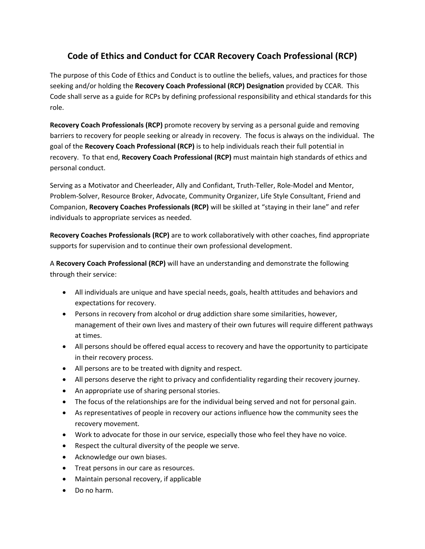## **Code of Ethics and Conduct for CCAR Recovery Coach Professional (RCP)**

The purpose of this Code of Ethics and Conduct is to outline the beliefs, values, and practices for those seeking and/or holding the **Recovery Coach Professional (RCP) Designation** provided by CCAR. This Code shall serve as a guide for RCPs by defining professional responsibility and ethical standards for this role.

**Recovery Coach Professionals (RCP)** promote recovery by serving as a personal guide and removing barriers to recovery for people seeking or already in recovery. The focus is always on the individual. The goal of the **Recovery Coach Professional (RCP)** is to help individuals reach their full potential in recovery. To that end, **Recovery Coach Professional (RCP)** must maintain high standards of ethics and personal conduct.

Serving as a Motivator and Cheerleader, Ally and Confidant, Truth‐Teller, Role‐Model and Mentor, Problem‐Solver, Resource Broker, Advocate, Community Organizer, Life Style Consultant, Friend and Companion, **Recovery Coaches Professionals (RCP)** will be skilled at "staying in their lane" and refer individuals to appropriate services as needed.

**Recovery Coaches Professionals (RCP)** are to work collaboratively with other coaches, find appropriate supports for supervision and to continue their own professional development.

A **Recovery Coach Professional (RCP)** will have an understanding and demonstrate the following through their service:

- All individuals are unique and have special needs, goals, health attitudes and behaviors and expectations for recovery.
- Persons in recovery from alcohol or drug addiction share some similarities, however, management of their own lives and mastery of their own futures will require different pathways at times.
- All persons should be offered equal access to recovery and have the opportunity to participate in their recovery process.
- All persons are to be treated with dignity and respect.
- All persons deserve the right to privacy and confidentiality regarding their recovery journey.
- An appropriate use of sharing personal stories.
- The focus of the relationships are for the individual being served and not for personal gain.
- As representatives of people in recovery our actions influence how the community sees the recovery movement.
- Work to advocate for those in our service, especially those who feel they have no voice.
- Respect the cultural diversity of the people we serve.
- Acknowledge our own biases.
- Treat persons in our care as resources.
- Maintain personal recovery, if applicable
- Do no harm.